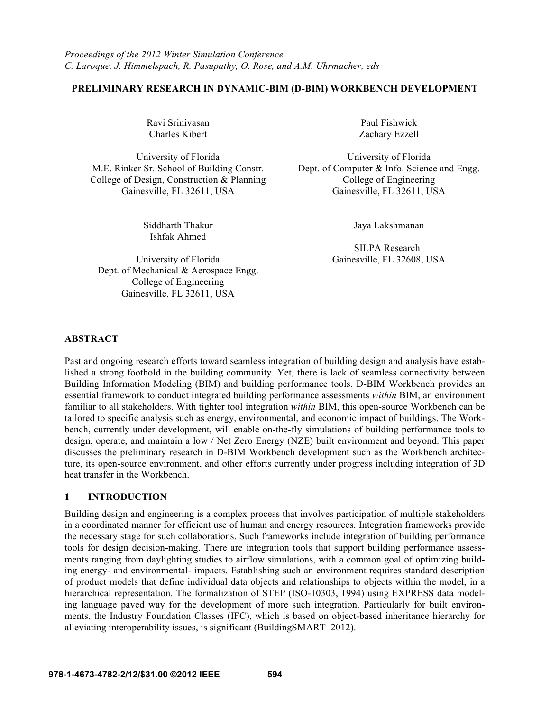# **PRELIMINARY RESEARCH IN DYNAMIC-BIM (D-BIM) WORKBENCH DEVELOPMENT**

Ravi Srinivasan Paul Fishwick Charles Kibert Zachary Ezzell

College of Design, Construction & Planning College of Engineering

Ishfak Ahmed

University of Florida Gainesville, FL 32608, USA Dept. of Mechanical & Aerospace Engg. College of Engineering Gainesville, FL 32611, USA

University of Florida University of Florida M.E. Rinker Sr. School of Building Constr. Dept. of Computer & Info. Science and Engg. Gainesville, FL 32611, USA Gainesville, FL 32611, USA

Siddharth Thakur Jaya Lakshmanan

SILPA Research

#### **ABSTRACT**

Past and ongoing research efforts toward seamless integration of building design and analysis have established a strong foothold in the building community. Yet, there is lack of seamless connectivity between Building Information Modeling (BIM) and building performance tools. D-BIM Workbench provides an essential framework to conduct integrated building performance assessments *within* BIM, an environment familiar to all stakeholders. With tighter tool integration *within* BIM, this open-source Workbench can be tailored to specific analysis such as energy, environmental, and economic impact of buildings. The Workbench, currently under development, will enable on-the-fly simulations of building performance tools to design, operate, and maintain a low / Net Zero Energy (NZE) built environment and beyond. This paper discusses the preliminary research in D-BIM Workbench development such as the Workbench architecture, its open-source environment, and other efforts currently under progress including integration of 3D heat transfer in the Workbench.

## **1 INTRODUCTION**

Building design and engineering is a complex process that involves participation of multiple stakeholders in a coordinated manner for efficient use of human and energy resources. Integration frameworks provide the necessary stage for such collaborations. Such frameworks include integration of building performance tools for design decision-making. There are integration tools that support building performance assessments ranging from daylighting studies to airflow simulations, with a common goal of optimizing building energy- and environmental- impacts. Establishing such an environment requires standard description of product models that define individual data objects and relationships to objects within the model, in a hierarchical representation. The formalization of STEP (ISO-10303, 1994) using EXPRESS data modeling language paved way for the development of more such integration. Particularly for built environments, the Industry Foundation Classes (IFC), which is based on object-based inheritance hierarchy for alleviating interoperability issues, is significant (BuildingSMART 2012).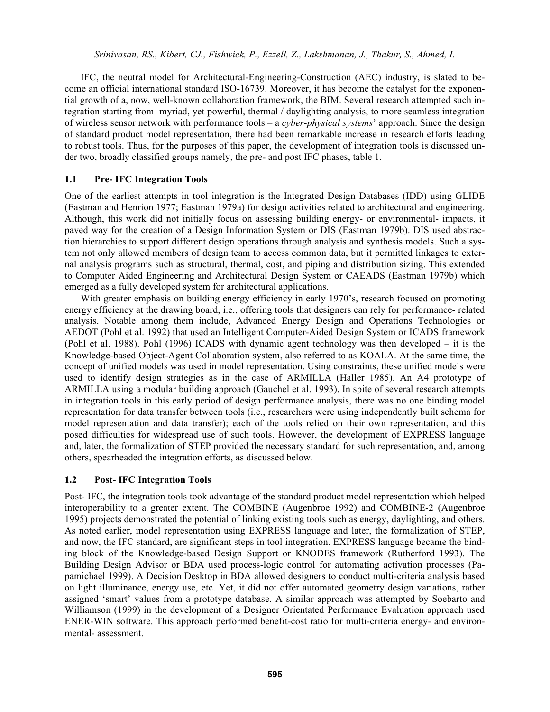IFC, the neutral model for Architectural-Engineering-Construction (AEC) industry, is slated to become an official international standard ISO-16739. Moreover, it has become the catalyst for the exponential growth of a, now, well-known collaboration framework, the BIM. Several research attempted such integration starting from myriad, yet powerful, thermal / daylighting analysis, to more seamless integration of wireless sensor network with performance tools – a *cyber-physical systems*' approach. Since the design of standard product model representation, there had been remarkable increase in research efforts leading to robust tools. Thus, for the purposes of this paper, the development of integration tools is discussed under two, broadly classified groups namely, the pre- and post IFC phases, table 1.

# **1.1 Pre- IFC Integration Tools**

One of the earliest attempts in tool integration is the Integrated Design Databases (IDD) using GLIDE (Eastman and Henrion 1977; Eastman 1979a) for design activities related to architectural and engineering. Although, this work did not initially focus on assessing building energy- or environmental- impacts, it paved way for the creation of a Design Information System or DIS (Eastman 1979b). DIS used abstraction hierarchies to support different design operations through analysis and synthesis models. Such a system not only allowed members of design team to access common data, but it permitted linkages to external analysis programs such as structural, thermal, cost, and piping and distribution sizing. This extended to Computer Aided Engineering and Architectural Design System or CAEADS (Eastman 1979b) which emerged as a fully developed system for architectural applications.

With greater emphasis on building energy efficiency in early 1970's, research focused on promoting energy efficiency at the drawing board, i.e., offering tools that designers can rely for performance- related analysis. Notable among them include, Advanced Energy Design and Operations Technologies or AEDOT (Pohl et al. 1992) that used an Intelligent Computer-Aided Design System or ICADS framework (Pohl et al. 1988). Pohl (1996) ICADS with dynamic agent technology was then developed – it is the Knowledge-based Object-Agent Collaboration system, also referred to as KOALA. At the same time, the concept of unified models was used in model representation. Using constraints, these unified models were used to identify design strategies as in the case of ARMILLA (Haller 1985). An A4 prototype of ARMILLA using a modular building approach (Gauchel et al. 1993). In spite of several research attempts in integration tools in this early period of design performance analysis, there was no one binding model representation for data transfer between tools (i.e., researchers were using independently built schema for model representation and data transfer); each of the tools relied on their own representation, and this posed difficulties for widespread use of such tools. However, the development of EXPRESS language and, later, the formalization of STEP provided the necessary standard for such representation, and, among others, spearheaded the integration efforts, as discussed below.

# **1.2 Post- IFC Integration Tools**

Post- IFC, the integration tools took advantage of the standard product model representation which helped interoperability to a greater extent. The COMBINE (Augenbroe 1992) and COMBINE-2 (Augenbroe 1995) projects demonstrated the potential of linking existing tools such as energy, daylighting, and others. As noted earlier, model representation using EXPRESS language and later, the formalization of STEP, and now, the IFC standard, are significant steps in tool integration. EXPRESS language became the binding block of the Knowledge-based Design Support or KNODES framework (Rutherford 1993). The Building Design Advisor or BDA used process-logic control for automating activation processes (Papamichael 1999). A Decision Desktop in BDA allowed designers to conduct multi-criteria analysis based on light illuminance, energy use, etc. Yet, it did not offer automated geometry design variations, rather assigned 'smart' values from a prototype database. A similar approach was attempted by Soebarto and Williamson (1999) in the development of a Designer Orientated Performance Evaluation approach used ENER-WIN software. This approach performed benefit-cost ratio for multi-criteria energy- and environmental- assessment.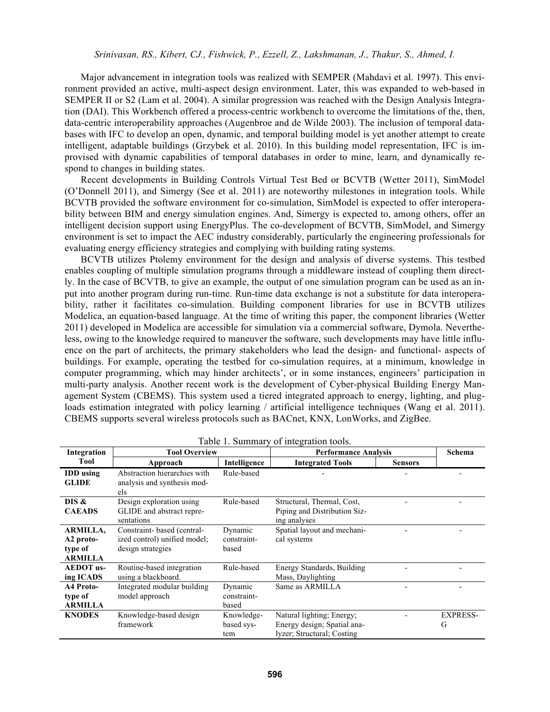Major advancement in integration tools was realized with SEMPER (Mahdavi et al. 1997). This environment provided an active, multi-aspect design environment. Later, this was expanded to web-based in SEMPER II or S2 (Lam et al. 2004). A similar progression was reached with the Design Analysis Integration (DAI). This Workbench offered a process-centric workbench to overcome the limitations of the, then, data-centric interoperability approaches (Augenbroe and de Wilde 2003). The inclusion of temporal databases with IFC to develop an open, dynamic, and temporal building model is yet another attempt to create intelligent, adaptable buildings (Grzybek et al. 2010). In this building model representation, IFC is improvised with dynamic capabilities of temporal databases in order to mine, learn, and dynamically respond to changes in building states.

 Recent developments in Building Controls Virtual Test Bed or BCVTB (Wetter 2011), SimModel (O'Donnell 2011), and Simergy (See et al. 2011) are noteworthy milestones in integration tools. While BCVTB provided the software environment for co-simulation, SimModel is expected to offer interoperability between BIM and energy simulation engines. And, Simergy is expected to, among others, offer an intelligent decision support using EnergyPlus. The co-development of BCVTB, SimModel, and Simergy environment is set to impact the AEC industry considerably, particularly the engineering professionals for evaluating energy efficiency strategies and complying with building rating systems.

 BCVTB utilizes Ptolemy environment for the design and analysis of diverse systems. This testbed enables coupling of multiple simulation programs through a middleware instead of coupling them directly. In the case of BCVTB, to give an example, the output of one simulation program can be used as an input into another program during run-time. Run-time data exchange is not a substitute for data interoperability, rather it facilitates co-simulation. Building component libraries for use in BCVTB utilizes Modelica, an equation-based language. At the time of writing this paper, the component libraries (Wetter 2011) developed in Modelica are accessible for simulation via a commercial software, Dymola. Nevertheless, owing to the knowledge required to maneuver the software, such developments may have little influence on the part of architects, the primary stakeholders who lead the design- and functional- aspects of buildings. For example, operating the testbed for co-simulation requires, at a minimum, knowledge in computer programming, which may hinder architects', or in some instances, engineers' participation in multi-party analysis. Another recent work is the development of Cyber-physical Building Energy Management System (CBEMS). This system used a tiered integrated approach to energy, lighting, and plugloads estimation integrated with policy learning / artificial intelligence techniques (Wang et al. 2011). CBEMS supports several wireless protocols such as BACnet, KNX, LonWorks, and ZigBee.

| Integration                                               | <b>Tool Overview</b>                                                            |                                 | <b>Performance Analysis</b>                                                            |                | Schema               |
|-----------------------------------------------------------|---------------------------------------------------------------------------------|---------------------------------|----------------------------------------------------------------------------------------|----------------|----------------------|
| Tool                                                      | Approach                                                                        | Intelligence                    | <b>Integrated Tools</b>                                                                | <b>Sensors</b> |                      |
| <b>IDD</b> using<br><b>GLIDE</b>                          | Abstraction hierarchies with<br>analysis and synthesis mod-<br>els              | Rule-based                      |                                                                                        |                |                      |
| DIS &<br><b>CAEADS</b>                                    | Design exploration using<br>GLIDE and abstract repre-<br>sentations             | Rule-based                      | Structural, Thermal, Cost,<br>Piping and Distribution Siz-<br>ing analyses             |                |                      |
| <b>ARMILLA,</b><br>A2 proto-<br>type of<br><b>ARMILLA</b> | Constraint-based (central-<br>ized control) unified model;<br>design strategies | Dynamic<br>constraint-<br>based | Spatial layout and mechani-<br>cal systems                                             |                |                      |
| <b>AEDOT</b> us-<br>ing ICADS                             | Routine-based integration<br>using a blackboard.                                | Rule-based                      | Energy Standards, Building<br>Mass, Daylighting                                        |                |                      |
| A4 Proto-<br>type of<br><b>ARMILLA</b>                    | Integrated modular building<br>model approach                                   | Dynamic<br>constraint-<br>based | Same as ARMILLA                                                                        |                |                      |
| <b>KNODES</b>                                             | Knowledge-based design<br>framework                                             | Knowledge-<br>based sys-<br>tem | Natural lighting; Energy;<br>Energy design; Spatial ana-<br>lyzer; Structural; Costing |                | <b>EXPRESS-</b><br>G |

Table 1. Summary of integration tools.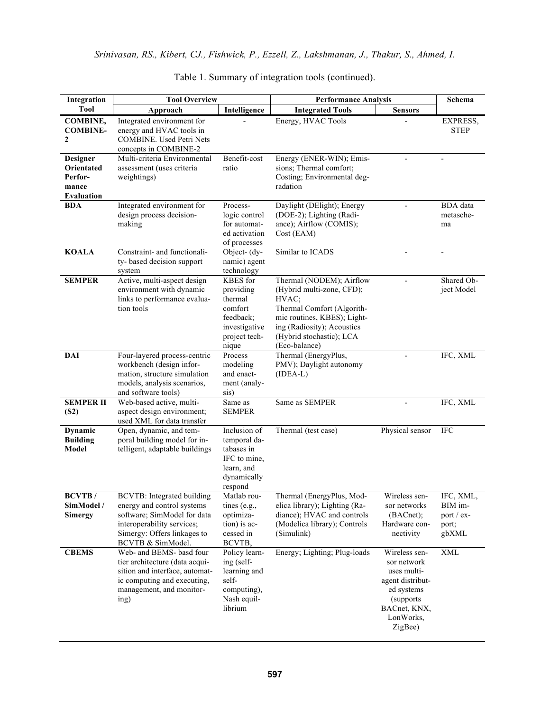| Integration                                                            | <b>Tool Overview</b>                                                                                                                                                             |                                                                                                     | <b>Performance Analysis</b>                                                                                                                                                                            |                                                                                                                                     | Schema                                               |
|------------------------------------------------------------------------|----------------------------------------------------------------------------------------------------------------------------------------------------------------------------------|-----------------------------------------------------------------------------------------------------|--------------------------------------------------------------------------------------------------------------------------------------------------------------------------------------------------------|-------------------------------------------------------------------------------------------------------------------------------------|------------------------------------------------------|
| <b>Tool</b>                                                            | Approach                                                                                                                                                                         | Intelligence                                                                                        | <b>Integrated Tools</b>                                                                                                                                                                                | <b>Sensors</b>                                                                                                                      |                                                      |
| COMBINE,<br><b>COMBINE-</b><br>2                                       | Integrated environment for<br>energy and HVAC tools in<br><b>COMBINE.</b> Used Petri Nets<br>concepts in COMBINE-2                                                               |                                                                                                     | Energy, HVAC Tools                                                                                                                                                                                     |                                                                                                                                     | EXPRESS,<br><b>STEP</b>                              |
| Designer<br><b>Orientated</b><br>Perfor-<br>mance<br><b>Evaluation</b> | Multi-criteria Environmental<br>assessment (uses criteria<br>weightings)                                                                                                         | Benefit-cost<br>ratio                                                                               | Energy (ENER-WIN); Emis-<br>sions; Thermal comfort;<br>Costing; Environmental deg-<br>radation                                                                                                         |                                                                                                                                     |                                                      |
| <b>BDA</b>                                                             | Integrated environment for<br>design process decision-<br>making                                                                                                                 | Process-<br>logic control<br>for automat-<br>ed activation<br>of processes                          | Daylight (DElight); Energy<br>(DOE-2); Lighting (Radi-<br>ance); Airflow (COMIS);<br>Cost (EAM)                                                                                                        |                                                                                                                                     | <b>BDA</b> data<br>metasche-<br>ma                   |
| <b>KOALA</b>                                                           | Constraint- and functionali-<br>ty-based decision support<br>system                                                                                                              | Object- $(dy -$<br>namic) agent<br>technology                                                       | Similar to ICADS                                                                                                                                                                                       |                                                                                                                                     |                                                      |
| <b>SEMPER</b>                                                          | Active, multi-aspect design<br>environment with dynamic<br>links to performance evalua-<br>tion tools                                                                            | KBES for<br>providing<br>thermal<br>comfort<br>feedback;<br>investigative<br>project tech-<br>nique | Thermal (NODEM); Airflow<br>(Hybrid multi-zone, CFD);<br>HVAC;<br>Thermal Comfort (Algorith-<br>mic routines, KBES); Light-<br>ing (Radiosity); Acoustics<br>(Hybrid stochastic); LCA<br>(Eco-balance) |                                                                                                                                     | Shared Ob-<br>ject Model                             |
| <b>DAI</b>                                                             | Four-layered process-centric<br>workbench (design infor-<br>mation, structure simulation<br>models, analysis scenarios,<br>and software tools)                                   | Process<br>modeling<br>and enact-<br>ment (analy-<br>sis)                                           | Thermal (EnergyPlus,<br>PMV); Daylight autonomy<br>$(IDEA-L)$                                                                                                                                          |                                                                                                                                     | IFC, XML                                             |
| <b>SEMPER II</b><br>(S2)                                               | Web-based active, multi-<br>aspect design environment;<br>used XML for data transfer                                                                                             | Same as<br><b>SEMPER</b>                                                                            | Same as SEMPER                                                                                                                                                                                         | $\overline{\phantom{a}}$                                                                                                            | IFC, XML                                             |
| Dynamic<br><b>Building</b><br>Model                                    | Open, dynamic, and tem-<br>poral building model for in-<br>telligent, adaptable buildings                                                                                        | Inclusion of<br>temporal da-<br>tabases in<br>IFC to mine,<br>learn, and<br>dynamically<br>respond  | Thermal (test case)                                                                                                                                                                                    | Physical sensor                                                                                                                     | <b>IFC</b>                                           |
| <b>BCVTB</b> /<br>SimModel /<br><b>Simergy</b>                         | <b>BCVTB:</b> Integrated building<br>energy and control systems<br>software; SimModel for data<br>interoperability services;<br>Simergy: Offers linkages to<br>BCVTB & SimModel. | Matlab rou-<br>tines $(e.g.,$<br>optimiza-<br>tion) is ac-<br>cessed in<br>BCVTB,                   | Thermal (EnergyPlus, Mod-<br>elica library); Lighting (Ra-<br>diance); HVAC and controls<br>(Modelica library); Controls<br>(Simulink)                                                                 | Wireless sen-<br>sor networks<br>(BACnet);<br>Hardware con-<br>nectivity                                                            | IFC, XML,<br>BIM im-<br>port / ex-<br>port;<br>gbXML |
| <b>CBEMS</b>                                                           | Web- and BEMS- basd four<br>tier architecture (data acqui-<br>sition and interface, automat-<br>ic computing and executing,<br>management, and monitor-<br>ing)                  | Policy learn-<br>ing (self-<br>learning and<br>self-<br>computing),<br>Nash equil-<br>librium       | Energy; Lighting; Plug-loads                                                                                                                                                                           | Wireless sen-<br>sor network<br>uses multi-<br>agent distribut-<br>ed systems<br>(supports)<br>BACnet, KNX,<br>LonWorks,<br>ZigBee) | <b>XML</b>                                           |

Table 1. Summary of integration tools (continued).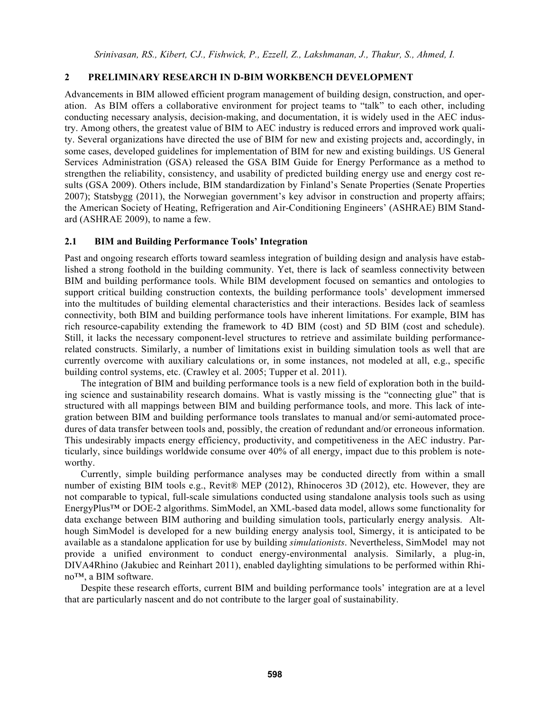### **2 PRELIMINARY RESEARCH IN D-BIM WORKBENCH DEVELOPMENT**

Advancements in BIM allowed efficient program management of building design, construction, and operation. As BIM offers a collaborative environment for project teams to "talk" to each other, including conducting necessary analysis, decision-making, and documentation, it is widely used in the AEC industry. Among others, the greatest value of BIM to AEC industry is reduced errors and improved work quality. Several organizations have directed the use of BIM for new and existing projects and, accordingly, in some cases, developed guidelines for implementation of BIM for new and existing buildings. US General Services Administration (GSA) released the GSA BIM Guide for Energy Performance as a method to strengthen the reliability, consistency, and usability of predicted building energy use and energy cost results (GSA 2009). Others include, BIM standardization by Finland's Senate Properties (Senate Properties 2007); Statsbygg (2011), the Norwegian government's key advisor in construction and property affairs; the American Society of Heating, Refrigeration and Air-Conditioning Engineers' (ASHRAE) BIM Standard (ASHRAE 2009), to name a few.

#### **2.1 BIM and Building Performance Tools' Integration**

Past and ongoing research efforts toward seamless integration of building design and analysis have established a strong foothold in the building community. Yet, there is lack of seamless connectivity between BIM and building performance tools. While BIM development focused on semantics and ontologies to support critical building construction contexts, the building performance tools' development immersed into the multitudes of building elemental characteristics and their interactions. Besides lack of seamless connectivity, both BIM and building performance tools have inherent limitations. For example, BIM has rich resource-capability extending the framework to 4D BIM (cost) and 5D BIM (cost and schedule). Still, it lacks the necessary component-level structures to retrieve and assimilate building performancerelated constructs. Similarly, a number of limitations exist in building simulation tools as well that are currently overcome with auxiliary calculations or, in some instances, not modeled at all, e.g., specific building control systems, etc. (Crawley et al. 2005; Tupper et al. 2011).

 The integration of BIM and building performance tools is a new field of exploration both in the building science and sustainability research domains. What is vastly missing is the "connecting glue" that is structured with all mappings between BIM and building performance tools, and more. This lack of integration between BIM and building performance tools translates to manual and/or semi-automated procedures of data transfer between tools and, possibly, the creation of redundant and/or erroneous information. This undesirably impacts energy efficiency, productivity, and competitiveness in the AEC industry. Particularly, since buildings worldwide consume over 40% of all energy, impact due to this problem is noteworthy.

 Currently, simple building performance analyses may be conducted directly from within a small number of existing BIM tools e.g., Revit® MEP (2012), Rhinoceros 3D (2012), etc. However, they are not comparable to typical, full-scale simulations conducted using standalone analysis tools such as using EnergyPlus™ or DOE-2 algorithms. SimModel, an XML-based data model, allows some functionality for data exchange between BIM authoring and building simulation tools, particularly energy analysis. Although SimModel is developed for a new building energy analysis tool, Simergy, it is anticipated to be available as a standalone application for use by building *simulationists*. Nevertheless, SimModel may not provide a unified environment to conduct energy-environmental analysis. Similarly, a plug-in, DIVA4Rhino (Jakubiec and Reinhart 2011), enabled daylighting simulations to be performed within Rhino™, a BIM software.

 Despite these research efforts, current BIM and building performance tools' integration are at a level that are particularly nascent and do not contribute to the larger goal of sustainability.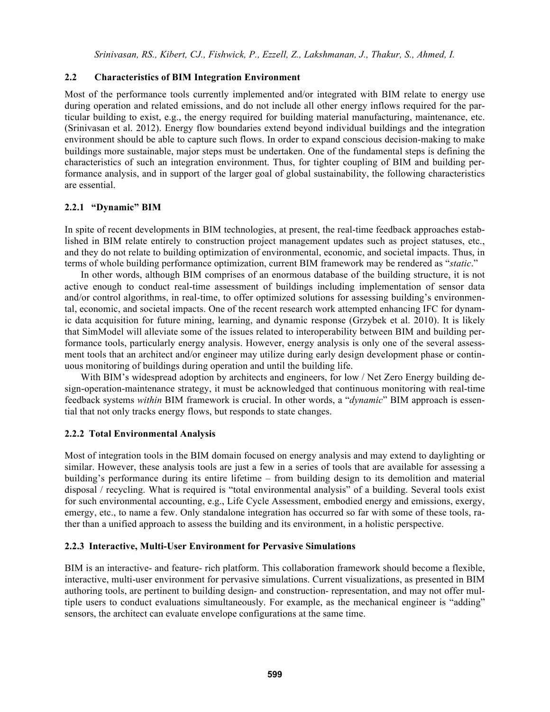#### **2.2 Characteristics of BIM Integration Environment**

Most of the performance tools currently implemented and/or integrated with BIM relate to energy use during operation and related emissions, and do not include all other energy inflows required for the particular building to exist, e.g., the energy required for building material manufacturing, maintenance, etc. (Srinivasan et al. 2012). Energy flow boundaries extend beyond individual buildings and the integration environment should be able to capture such flows. In order to expand conscious decision-making to make buildings more sustainable, major steps must be undertaken. One of the fundamental steps is defining the characteristics of such an integration environment. Thus, for tighter coupling of BIM and building performance analysis, and in support of the larger goal of global sustainability, the following characteristics are essential.

#### **2.2.1 "Dynamic" BIM**

In spite of recent developments in BIM technologies, at present, the real-time feedback approaches established in BIM relate entirely to construction project management updates such as project statuses, etc., and they do not relate to building optimization of environmental, economic, and societal impacts. Thus, in terms of whole building performance optimization, current BIM framework may be rendered as "*static*."

 In other words, although BIM comprises of an enormous database of the building structure, it is not active enough to conduct real-time assessment of buildings including implementation of sensor data and/or control algorithms, in real-time, to offer optimized solutions for assessing building's environmental, economic, and societal impacts. One of the recent research work attempted enhancing IFC for dynamic data acquisition for future mining, learning, and dynamic response (Grzybek et al. 2010). It is likely that SimModel will alleviate some of the issues related to interoperability between BIM and building performance tools, particularly energy analysis. However, energy analysis is only one of the several assessment tools that an architect and/or engineer may utilize during early design development phase or continuous monitoring of buildings during operation and until the building life.

With BIM's widespread adoption by architects and engineers, for low / Net Zero Energy building design-operation-maintenance strategy, it must be acknowledged that continuous monitoring with real-time feedback systems *within* BIM framework is crucial. In other words, a "*dynamic*" BIM approach is essential that not only tracks energy flows, but responds to state changes.

#### **2.2.2 Total Environmental Analysis**

Most of integration tools in the BIM domain focused on energy analysis and may extend to daylighting or similar. However, these analysis tools are just a few in a series of tools that are available for assessing a building's performance during its entire lifetime – from building design to its demolition and material disposal / recycling. What is required is "total environmental analysis" of a building. Several tools exist for such environmental accounting, e.g., Life Cycle Assessment, embodied energy and emissions, exergy, emergy, etc., to name a few. Only standalone integration has occurred so far with some of these tools, rather than a unified approach to assess the building and its environment, in a holistic perspective.

## **2.2.3 Interactive, Multi-User Environment for Pervasive Simulations**

BIM is an interactive- and feature- rich platform. This collaboration framework should become a flexible, interactive, multi-user environment for pervasive simulations. Current visualizations, as presented in BIM authoring tools, are pertinent to building design- and construction- representation, and may not offer multiple users to conduct evaluations simultaneously. For example, as the mechanical engineer is "adding" sensors, the architect can evaluate envelope configurations at the same time.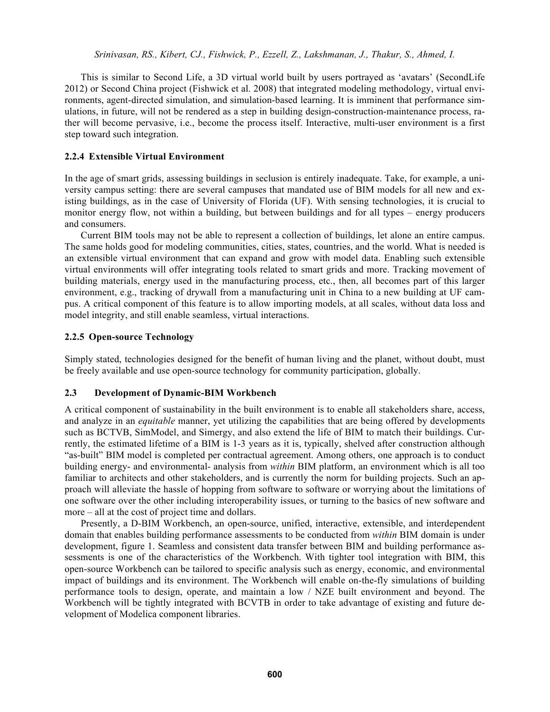This is similar to Second Life, a 3D virtual world built by users portrayed as 'avatars' (SecondLife 2012) or Second China project (Fishwick et al. 2008) that integrated modeling methodology, virtual environments, agent-directed simulation, and simulation-based learning. It is imminent that performance simulations, in future, will not be rendered as a step in building design-construction-maintenance process, rather will become pervasive, i.e., become the process itself. Interactive, multi-user environment is a first step toward such integration.

### **2.2.4 Extensible Virtual Environment**

In the age of smart grids, assessing buildings in seclusion is entirely inadequate. Take, for example, a university campus setting: there are several campuses that mandated use of BIM models for all new and existing buildings, as in the case of University of Florida (UF). With sensing technologies, it is crucial to monitor energy flow, not within a building, but between buildings and for all types – energy producers and consumers.

 Current BIM tools may not be able to represent a collection of buildings, let alone an entire campus. The same holds good for modeling communities, cities, states, countries, and the world. What is needed is an extensible virtual environment that can expand and grow with model data. Enabling such extensible virtual environments will offer integrating tools related to smart grids and more. Tracking movement of building materials, energy used in the manufacturing process, etc., then, all becomes part of this larger environment, e.g., tracking of drywall from a manufacturing unit in China to a new building at UF campus. A critical component of this feature is to allow importing models, at all scales, without data loss and model integrity, and still enable seamless, virtual interactions.

#### **2.2.5 Open-source Technology**

Simply stated, technologies designed for the benefit of human living and the planet, without doubt, must be freely available and use open-source technology for community participation, globally.

## **2.3 Development of Dynamic-BIM Workbench**

A critical component of sustainability in the built environment is to enable all stakeholders share, access, and analyze in an *equitable* manner, yet utilizing the capabilities that are being offered by developments such as BCTVB, SimModel, and Simergy, and also extend the life of BIM to match their buildings. Currently, the estimated lifetime of a BIM is 1-3 years as it is, typically, shelved after construction although "as-built" BIM model is completed per contractual agreement. Among others, one approach is to conduct building energy- and environmental- analysis from *within* BIM platform, an environment which is all too familiar to architects and other stakeholders, and is currently the norm for building projects. Such an approach will alleviate the hassle of hopping from software to software or worrying about the limitations of one software over the other including interoperability issues, or turning to the basics of new software and more – all at the cost of project time and dollars.

 Presently, a D-BIM Workbench, an open-source, unified, interactive, extensible, and interdependent domain that enables building performance assessments to be conducted from *within* BIM domain is under development, figure 1. Seamless and consistent data transfer between BIM and building performance assessments is one of the characteristics of the Workbench. With tighter tool integration with BIM, this open-source Workbench can be tailored to specific analysis such as energy, economic, and environmental impact of buildings and its environment. The Workbench will enable on-the-fly simulations of building performance tools to design, operate, and maintain a low / NZE built environment and beyond. The Workbench will be tightly integrated with BCVTB in order to take advantage of existing and future development of Modelica component libraries.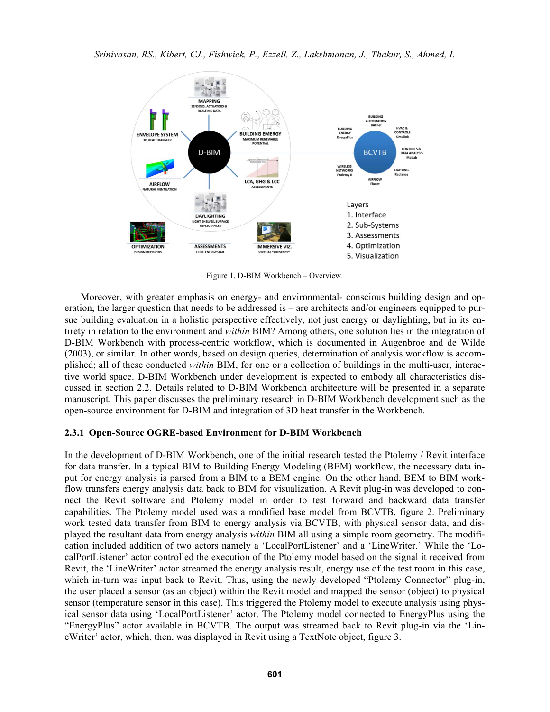

Figure 1. D-BIM Workbench – Overview.

 Moreover, with greater emphasis on energy- and environmental- conscious building design and operation, the larger question that needs to be addressed is – are architects and/or engineers equipped to pursue building evaluation in a holistic perspective effectively, not just energy or daylighting, but in its entirety in relation to the environment and *within* BIM? Among others, one solution lies in the integration of D-BIM Workbench with process-centric workflow, which is documented in Augenbroe and de Wilde (2003), or similar. In other words, based on design queries, determination of analysis workflow is accomplished; all of these conducted *within* BIM, for one or a collection of buildings in the multi-user, interactive world space. D-BIM Workbench under development is expected to embody all characteristics discussed in section 2.2. Details related to D-BIM Workbench architecture will be presented in a separate manuscript. This paper discusses the preliminary research in D-BIM Workbench development such as the open-source environment for D-BIM and integration of 3D heat transfer in the Workbench.

#### **2.3.1 Open-Source OGRE-based Environment for D-BIM Workbench**

In the development of D-BIM Workbench, one of the initial research tested the Ptolemy / Revit interface for data transfer. In a typical BIM to Building Energy Modeling (BEM) workflow, the necessary data input for energy analysis is parsed from a BIM to a BEM engine. On the other hand, BEM to BIM workflow transfers energy analysis data back to BIM for visualization. A Revit plug-in was developed to connect the Revit software and Ptolemy model in order to test forward and backward data transfer capabilities. The Ptolemy model used was a modified base model from BCVTB, figure 2. Preliminary work tested data transfer from BIM to energy analysis via BCVTB, with physical sensor data, and displayed the resultant data from energy analysis *within* BIM all using a simple room geometry. The modification included addition of two actors namely a 'LocalPortListener' and a 'LineWriter.' While the 'LocalPortListener' actor controlled the execution of the Ptolemy model based on the signal it received from Revit, the 'LineWriter' actor streamed the energy analysis result, energy use of the test room in this case, which in-turn was input back to Revit. Thus, using the newly developed "Ptolemy Connector" plug-in, the user placed a sensor (as an object) within the Revit model and mapped the sensor (object) to physical sensor (temperature sensor in this case). This triggered the Ptolemy model to execute analysis using physical sensor data using 'LocalPortListener' actor. The Ptolemy model connected to EnergyPlus using the "EnergyPlus" actor available in BCVTB. The output was streamed back to Revit plug-in via the 'LineWriter' actor, which, then, was displayed in Revit using a TextNote object, figure 3.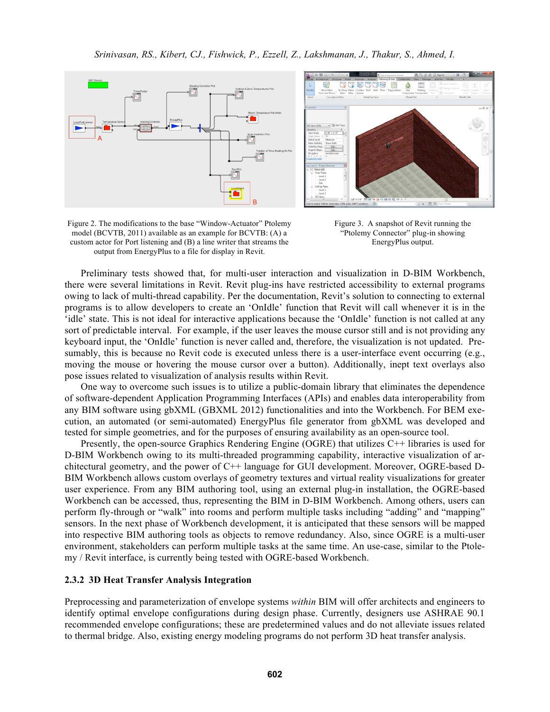



Figure 2. The modifications to the base "Window-Actuator" Ptolemy model (BCVTB, 2011) available as an example for BCVTB: (A) a custom actor for Port listening and (B) a line writer that streams the output from EnergyPlus to a file for display in Revit.

Figure 3. A snapshot of Revit running the "Ptolemy Connector" plug-in showing EnergyPlus output.

 Preliminary tests showed that, for multi-user interaction and visualization in D-BIM Workbench, there were several limitations in Revit. Revit plug-ins have restricted accessibility to external programs owing to lack of multi-thread capability. Per the documentation, Revit's solution to connecting to external programs is to allow developers to create an 'OnIdle' function that Revit will call whenever it is in the 'idle' state. This is not ideal for interactive applications because the 'OnIdle' function is not called at any sort of predictable interval. For example, if the user leaves the mouse cursor still and is not providing any keyboard input, the 'OnIdle' function is never called and, therefore, the visualization is not updated. Presumably, this is because no Revit code is executed unless there is a user-interface event occurring (e.g., moving the mouse or hovering the mouse cursor over a button). Additionally, inept text overlays also pose issues related to visualization of analysis results within Revit.

 One way to overcome such issues is to utilize a public-domain library that eliminates the dependence of software-dependent Application Programming Interfaces (APIs) and enables data interoperability from any BIM software using gbXML (GBXML 2012) functionalities and into the Workbench. For BEM execution, an automated (or semi-automated) EnergyPlus file generator from gbXML was developed and tested for simple geometries, and for the purposes of ensuring availability as an open-source tool.

 Presently, the open-source Graphics Rendering Engine (OGRE) that utilizes C++ libraries is used for D-BIM Workbench owing to its multi-threaded programming capability, interactive visualization of architectural geometry, and the power of C++ language for GUI development. Moreover, OGRE-based D-BIM Workbench allows custom overlays of geometry textures and virtual reality visualizations for greater user experience. From any BIM authoring tool, using an external plug-in installation, the OGRE-based Workbench can be accessed, thus, representing the BIM in D-BIM Workbench. Among others, users can perform fly-through or "walk" into rooms and perform multiple tasks including "adding" and "mapping" sensors. In the next phase of Workbench development, it is anticipated that these sensors will be mapped into respective BIM authoring tools as objects to remove redundancy. Also, since OGRE is a multi-user environment, stakeholders can perform multiple tasks at the same time. An use-case, similar to the Ptolemy / Revit interface, is currently being tested with OGRE-based Workbench.

#### **2.3.2 3D Heat Transfer Analysis Integration**

Preprocessing and parameterization of envelope systems *within* BIM will offer architects and engineers to identify optimal envelope configurations during design phase. Currently, designers use ASHRAE 90.1 recommended envelope configurations; these are predetermined values and do not alleviate issues related to thermal bridge. Also, existing energy modeling programs do not perform 3D heat transfer analysis.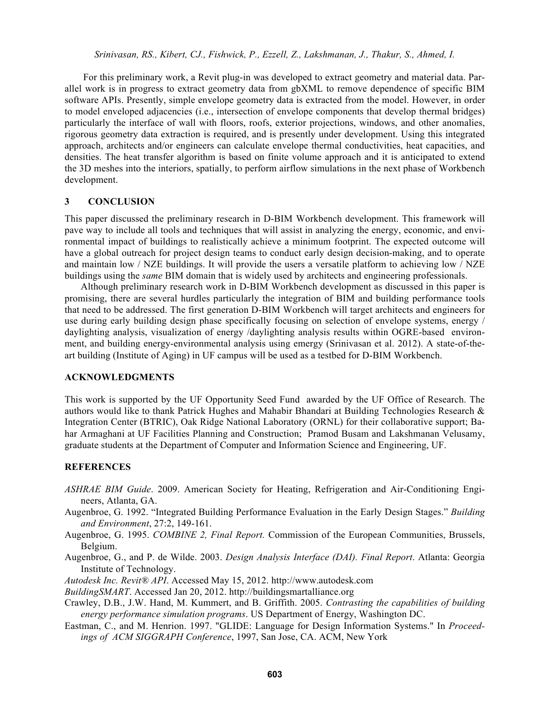For this preliminary work, a Revit plug-in was developed to extract geometry and material data. Parallel work is in progress to extract geometry data from gbXML to remove dependence of specific BIM software APIs. Presently, simple envelope geometry data is extracted from the model. However, in order to model enveloped adjacencies (i.e., intersection of envelope components that develop thermal bridges) particularly the interface of wall with floors, roofs, exterior projections, windows, and other anomalies, rigorous geometry data extraction is required, and is presently under development. Using this integrated approach, architects and/or engineers can calculate envelope thermal conductivities, heat capacities, and densities. The heat transfer algorithm is based on finite volume approach and it is anticipated to extend the 3D meshes into the interiors, spatially, to perform airflow simulations in the next phase of Workbench development.

#### **3 CONCLUSION**

This paper discussed the preliminary research in D-BIM Workbench development. This framework will pave way to include all tools and techniques that will assist in analyzing the energy, economic, and environmental impact of buildings to realistically achieve a minimum footprint. The expected outcome will have a global outreach for project design teams to conduct early design decision-making, and to operate and maintain low / NZE buildings. It will provide the users a versatile platform to achieving low / NZE buildings using the *same* BIM domain that is widely used by architects and engineering professionals.

 Although preliminary research work in D-BIM Workbench development as discussed in this paper is promising, there are several hurdles particularly the integration of BIM and building performance tools that need to be addressed. The first generation D-BIM Workbench will target architects and engineers for use during early building design phase specifically focusing on selection of envelope systems, energy / daylighting analysis, visualization of energy /daylighting analysis results within OGRE-based environment, and building energy-environmental analysis using emergy (Srinivasan et al. 2012). A state-of-theart building (Institute of Aging) in UF campus will be used as a testbed for D-BIM Workbench.

### **ACKNOWLEDGMENTS**

This work is supported by the UF Opportunity Seed Fund awarded by the UF Office of Research. The authors would like to thank Patrick Hughes and Mahabir Bhandari at Building Technologies Research & Integration Center (BTRIC), Oak Ridge National Laboratory (ORNL) for their collaborative support; Bahar Armaghani at UF Facilities Planning and Construction; Pramod Busam and Lakshmanan Velusamy, graduate students at the Department of Computer and Information Science and Engineering, UF.

## **REFERENCES**

- *ASHRAE BIM Guide*. 2009. American Society for Heating, Refrigeration and Air-Conditioning Engineers, Atlanta, GA.
- Augenbroe, G. 1992. "Integrated Building Performance Evaluation in the Early Design Stages." *Building and Environment*, 27:2, 149-161.
- Augenbroe, G. 1995. *COMBINE 2, Final Report.* Commission of the European Communities, Brussels, Belgium.
- Augenbroe, G., and P. de Wilde. 2003. *Design Analysis Interface (DAI). Final Report*. Atlanta: Georgia Institute of Technology.
- *Autodesk Inc. Revit® API*. Accessed May 15, 2012. http://www.autodesk.com
- *BuildingSMART*. Accessed Jan 20, 2012. http://buildingsmartalliance.org
- Crawley, D.B., J.W. Hand, M. Kummert, and B. Griffith. 2005. *Contrasting the capabilities of building energy performance simulation programs*. US Department of Energy, Washington DC.
- Eastman, C., and M. Henrion. 1997. "GLIDE: Language for Design Information Systems." In *Proceedings of ACM SIGGRAPH Conference*, 1997, San Jose, CA. ACM, New York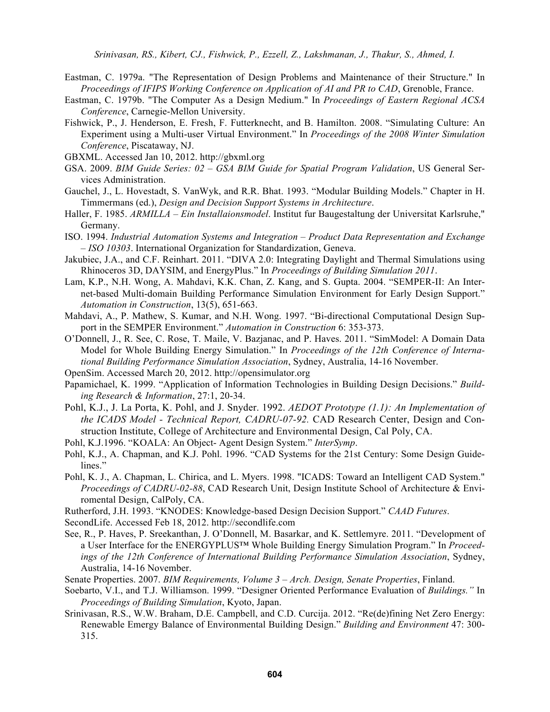- Eastman, C. 1979a. "The Representation of Design Problems and Maintenance of their Structure." In *Proceedings of IFIPS Working Conference on Application of AI and PR to CAD*, Grenoble, France.
- Eastman, C. 1979b. "The Computer As a Design Medium." In *Proceedings of Eastern Regional ACSA Conference*, Carnegie-Mellon University.
- Fishwick, P., J. Henderson, E. Fresh, F. Futterknecht, and B. Hamilton. 2008. "Simulating Culture: An Experiment using a Multi-user Virtual Environment." In *Proceedings of the 2008 Winter Simulation Conference*, Piscataway, NJ.
- GBXML. Accessed Jan 10, 2012. http://gbxml.org
- GSA. 2009. *BIM Guide Series: 02 GSA BIM Guide for Spatial Program Validation*, US General Services Administration.
- Gauchel, J., L. Hovestadt, S. VanWyk, and R.R. Bhat. 1993. "Modular Building Models." Chapter in H. Timmermans (ed.), *Design and Decision Support Systems in Architecture*.
- Haller, F. 1985. *ARMILLA Ein Installaionsmodel*. Institut fur Baugestaltung der Universitat Karlsruhe," Germany.
- ISO. 1994. *Industrial Automation Systems and Integration Product Data Representation and Exchange – ISO 10303*. International Organization for Standardization, Geneva.
- Jakubiec, J.A., and C.F. Reinhart. 2011. "DIVA 2.0: Integrating Daylight and Thermal Simulations using Rhinoceros 3D, DAYSIM, and EnergyPlus." In *Proceedings of Building Simulation 2011*.
- Lam, K.P., N.H. Wong, A. Mahdavi, K.K. Chan, Z. Kang, and S. Gupta. 2004. "SEMPER-II: An Internet-based Multi-domain Building Performance Simulation Environment for Early Design Support." *Automation in Construction*, 13(5), 651-663.
- Mahdavi, A., P. Mathew, S. Kumar, and N.H. Wong. 1997. "Bi-directional Computational Design Support in the SEMPER Environment." *Automation in Construction* 6: 353-373.
- O'Donnell, J., R. See, C. Rose, T. Maile, V. Bazjanac, and P. Haves. 2011. "SimModel: A Domain Data Model for Whole Building Energy Simulation." In *Proceedings of the 12th Conference of International Building Performance Simulation Association*, Sydney, Australia, 14-16 November.
- OpenSim. Accessed March 20, 2012. http://opensimulator.org
- Papamichael, K. 1999. "Application of Information Technologies in Building Design Decisions." *Building Research & Information*, 27:1, 20-34.
- Pohl, K.J., J. La Porta, K. Pohl, and J. Snyder. 1992. *AEDOT Prototype (1.1): An Implementation of the ICADS Model - Technical Report, CADRU-07-92.* CAD Research Center, Design and Construction Institute, College of Architecture and Environmental Design, Cal Poly, CA.
- Pohl, K.J.1996. "KOALA: An Object- Agent Design System." *InterSymp*.
- Pohl, K.J., A. Chapman, and K.J. Pohl. 1996. "CAD Systems for the 21st Century: Some Design Guidelines."
- Pohl, K. J., A. Chapman, L. Chirica, and L. Myers. 1998. "ICADS: Toward an Intelligent CAD System." *Proceedings of CADRU-02-88*, CAD Research Unit, Design Institute School of Architecture & Enviromental Design, CalPoly, CA.
- Rutherford, J.H. 1993. "KNODES: Knowledge-based Design Decision Support." *CAAD Futures*.
- SecondLife. Accessed Feb 18, 2012. http://secondlife.com
- See, R., P. Haves, P. Sreekanthan, J. O'Donnell, M. Basarkar, and K. Settlemyre. 2011. "Development of a User Interface for the ENERGYPLUS™ Whole Building Energy Simulation Program." In *Proceedings of the 12th Conference of International Building Performance Simulation Association*, Sydney, Australia, 14-16 November.
- Senate Properties. 2007. *BIM Requirements, Volume 3 Arch. Design, Senate Properties*, Finland.
- Soebarto, V.I., and T.J. Williamson. 1999. "Designer Oriented Performance Evaluation of *Buildings."* In *Proceedings of Building Simulation*, Kyoto, Japan.
- Srinivasan, R.S., W.W. Braham, D.E. Campbell, and C.D. Curcija. 2012. "Re(de)fining Net Zero Energy: Renewable Emergy Balance of Environmental Building Design." *Building and Environment* 47: 300- 315.